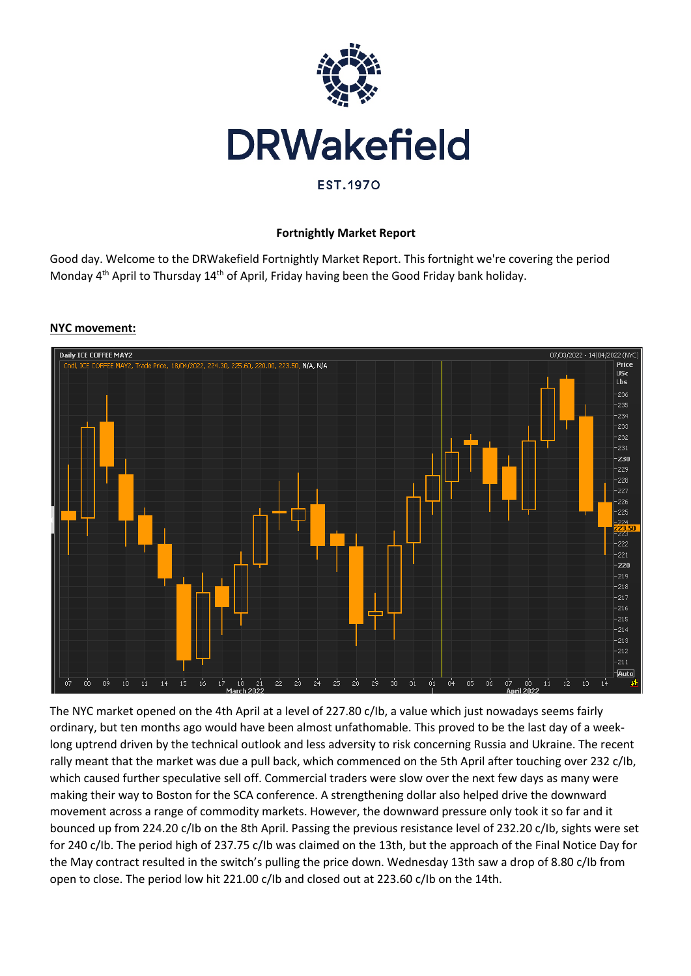

#### **Fortnightly Market Report**

Good day. Welcome to the DRWakefield Fortnightly Market Report. This fortnight we're covering the period Monday  $4<sup>th</sup>$  April to Thursday 14<sup>th</sup> of April, Friday having been the Good Friday bank holiday.

#### Daily ICE COFFEE MAY2 07/03/2022 - 14/04/2022 (NYO Price .<br>2. Trade Price, 18/04/2022, 224.30, 225.60, 220.00, 223.50, N/A, N/A us. Lbs -236  $-235$  $-234$  $-233$  $-232$  $-231$  $-230$  $-229$ .228  $-22.$  $-226$ -225  $-222$  $-221$ -220  $-219$  $-218$  $-217$  $-216$  $-215$  $-214$  $-211$ -**Auto**  $11 \t 14 \t 15 \t 16$  $\overline{0}$  $09$  $10$  $14$  $24$ -25 -29  $30<sub>o</sub>$  $_{01}$  $04$  $05$ -06

**NYC movement:**

The NYC market opened on the 4th April at a level of 227.80 c/Ib, a value which just nowadays seems fairly ordinary, but ten months ago would have been almost unfathomable. This proved to be the last day of a weeklong uptrend driven by the technical outlook and less adversity to risk concerning Russia and Ukraine. The recent rally meant that the market was due a pull back, which commenced on the 5th April after touching over 232 c/Ib, which caused further speculative sell off. Commercial traders were slow over the next few days as many were making their way to Boston for the SCA conference. A strengthening dollar also helped drive the downward movement across a range of commodity markets. However, the downward pressure only took it so far and it bounced up from 224.20 c/Ib on the 8th April. Passing the previous resistance level of 232.20 c/Ib, sights were set for 240 c/Ib. The period high of 237.75 c/Ib was claimed on the 13th, but the approach of the Final Notice Day for the May contract resulted in the switch's pulling the price down. Wednesday 13th saw a drop of 8.80 c/Ib from open to close. The period low hit 221.00 c/Ib and closed out at 223.60 c/Ib on the 14th.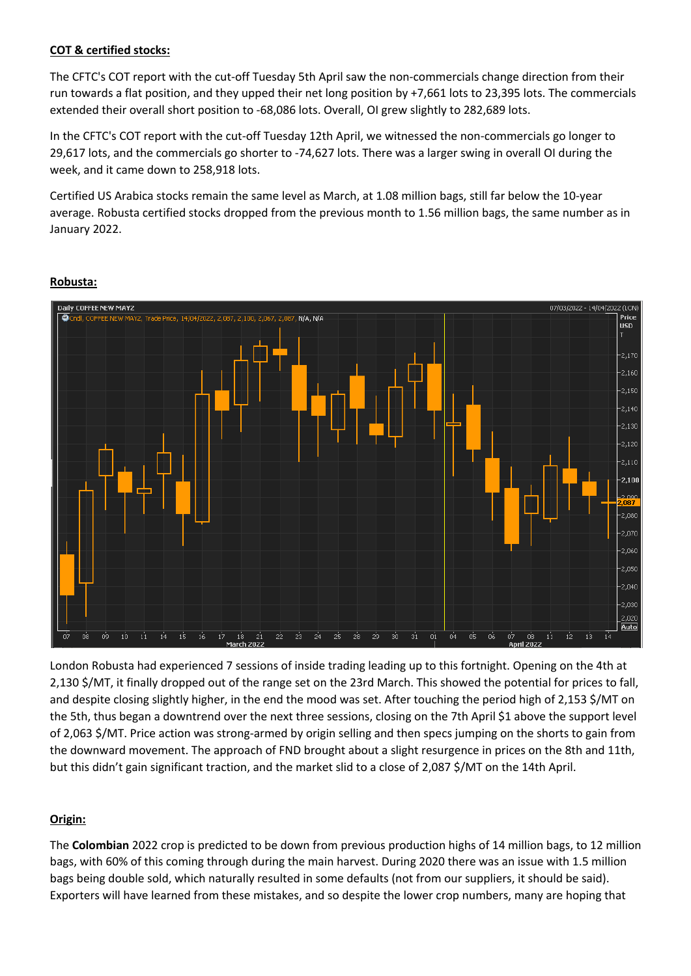## **COT & certified stocks:**

The CFTC's COT report with the cut-off Tuesday 5th April saw the non-commercials change direction from their run towards a flat position, and they upped their net long position by +7,661 lots to 23,395 lots. The commercials extended their overall short position to -68,086 lots. Overall, OI grew slightly to 282,689 lots.

In the CFTC's COT report with the cut-off Tuesday 12th April, we witnessed the non-commercials go longer to 29,617 lots, and the commercials go shorter to -74,627 lots. There was a larger swing in overall OI during the week, and it came down to 258,918 lots.

Certified US Arabica stocks remain the same level as March, at 1.08 million bags, still far below the 10-year average. Robusta certified stocks dropped from the previous month to 1.56 million bags, the same number as in January 2022.



# **Robusta:**

London Robusta had experienced 7 sessions of inside trading leading up to this fortnight. Opening on the 4th at 2,130 \$/MT, it finally dropped out of the range set on the 23rd March. This showed the potential for prices to fall, and despite closing slightly higher, in the end the mood was set. After touching the period high of 2,153 \$/MT on the 5th, thus began a downtrend over the next three sessions, closing on the 7th April \$1 above the support level of 2,063 \$/MT. Price action was strong-armed by origin selling and then specs jumping on the shorts to gain from the downward movement. The approach of FND brought about a slight resurgence in prices on the 8th and 11th, but this didn't gain significant traction, and the market slid to a close of 2,087 \$/MT on the 14th April.

## **Origin:**

The **Colombian** 2022 crop is predicted to be down from previous production highs of 14 million bags, to 12 million bags, with 60% of this coming through during the main harvest. During 2020 there was an issue with 1.5 million bags being double sold, which naturally resulted in some defaults (not from our suppliers, it should be said). Exporters will have learned from these mistakes, and so despite the lower crop numbers, many are hoping that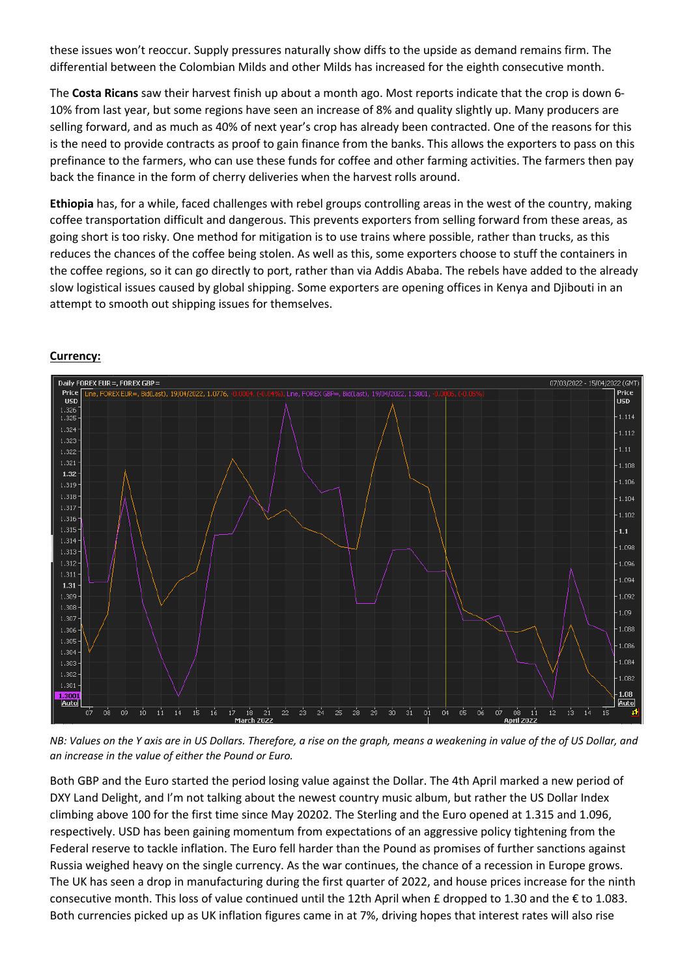these issues won't reoccur. Supply pressures naturally show diffs to the upside as demand remains firm. The differential between the Colombian Milds and other Milds has increased for the eighth consecutive month.

The **Costa Ricans** saw their harvest finish up about a month ago. Most reports indicate that the crop is down 6- 10% from last year, but some regions have seen an increase of 8% and quality slightly up. Many producers are selling forward, and as much as 40% of next year's crop has already been contracted. One of the reasons for this is the need to provide contracts as proof to gain finance from the banks. This allows the exporters to pass on this prefinance to the farmers, who can use these funds for coffee and other farming activities. The farmers then pay back the finance in the form of cherry deliveries when the harvest rolls around.

**Ethiopia** has, for a while, faced challenges with rebel groups controlling areas in the west of the country, making coffee transportation difficult and dangerous. This prevents exporters from selling forward from these areas, as going short is too risky. One method for mitigation is to use trains where possible, rather than trucks, as this reduces the chances of the coffee being stolen. As well as this, some exporters choose to stuff the containers in the coffee regions, so it can go directly to port, rather than via Addis Ababa. The rebels have added to the already slow logistical issues caused by global shipping. Some exporters are opening offices in Kenya and Djibouti in an attempt to smooth out shipping issues for themselves.



## **Currency:**

*NB: Values on the Y axis are in US Dollars. Therefore, a rise on the graph, means a weakening in value of the of US Dollar, and an increase in the value of either the Pound or Euro.* 

Both GBP and the Euro started the period losing value against the Dollar. The 4th April marked a new period of DXY Land Delight, and I'm not talking about the newest country music album, but rather the US Dollar Index climbing above 100 for the first time since May 20202. The Sterling and the Euro opened at 1.315 and 1.096, respectively. USD has been gaining momentum from expectations of an aggressive policy tightening from the Federal reserve to tackle inflation. The Euro fell harder than the Pound as promises of further sanctions against Russia weighed heavy on the single currency. As the war continues, the chance of a recession in Europe grows. The UK has seen a drop in manufacturing during the first quarter of 2022, and house prices increase for the ninth consecutive month. This loss of value continued until the 12th April when £ dropped to 1.30 and the € to 1.083. Both currencies picked up as UK inflation figures came in at 7%, driving hopes that interest rates will also rise